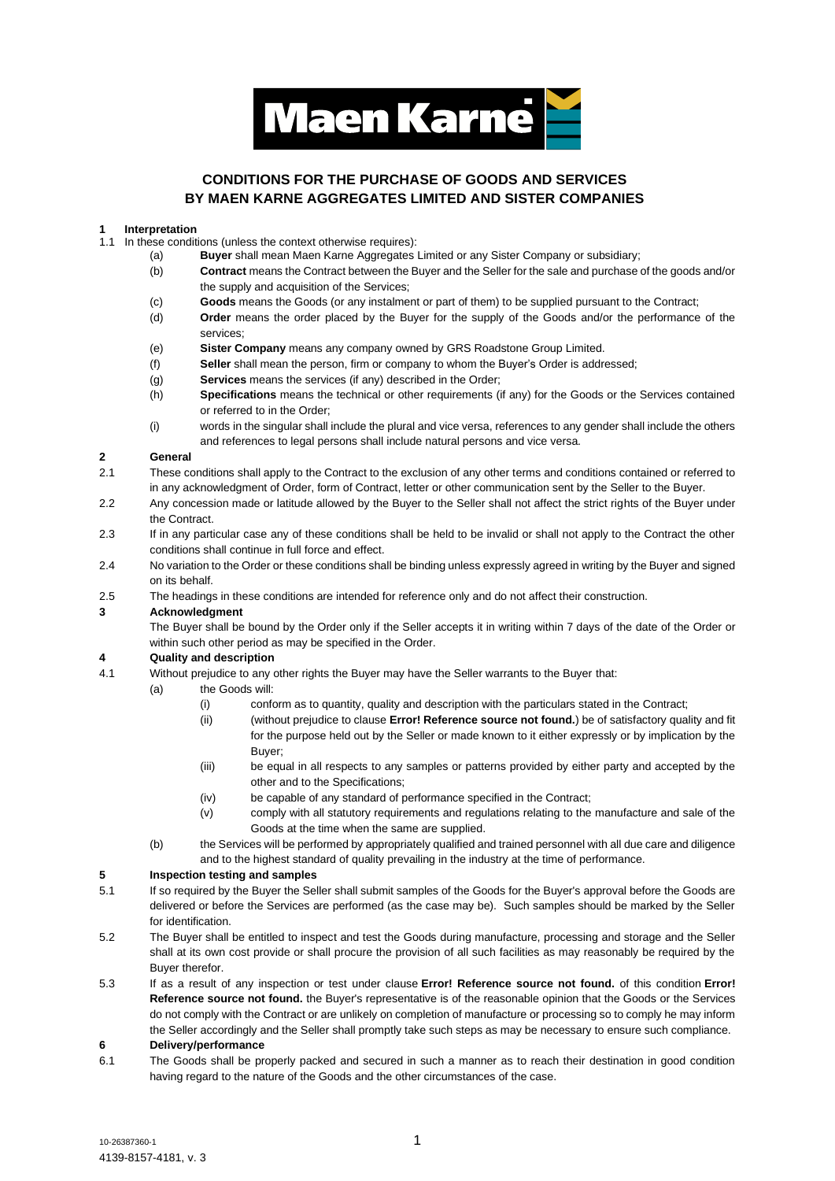

# **CONDITIONS FOR THE PURCHASE OF GOODS AND SERVICES BY MAEN KARNE AGGREGATES LIMITED AND SISTER COMPANIES**

#### **1 Interpretation**

- 1.1 In these conditions (unless the context otherwise requires):
	- (a) **Buyer** shall mean Maen Karne Aggregates Limited or any Sister Company or subsidiary;
		- (b) **Contract** means the Contract between the Buyer and the Seller for the sale and purchase of the goods and/or the supply and acquisition of the Services;
	- (c) **Goods** means the Goods (or any instalment or part of them) to be supplied pursuant to the Contract;
	- (d) **Order** means the order placed by the Buyer for the supply of the Goods and/or the performance of the services;
	- (e) **Sister Company** means any company owned by GRS Roadstone Group Limited.
	- (f) **Seller** shall mean the person, firm or company to whom the Buyer's Order is addressed;
	- (g) **Services** means the services (if any) described in the Order;
	- (h) **Specifications** means the technical or other requirements (if any) for the Goods or the Services contained or referred to in the Order;
	- (i) words in the singular shall include the plural and vice versa, references to any gender shall include the others and references to legal persons shall include natural persons and vice versa.

#### **2 General**

- 2.1 These conditions shall apply to the Contract to the exclusion of any other terms and conditions contained or referred to in any acknowledgment of Order, form of Contract, letter or other communication sent by the Seller to the Buyer.
- 2.2 Any concession made or latitude allowed by the Buyer to the Seller shall not affect the strict rights of the Buyer under the Contract.
- 2.3 If in any particular case any of these conditions shall be held to be invalid or shall not apply to the Contract the other conditions shall continue in full force and effect.
- 2.4 No variation to the Order or these conditions shall be binding unless expressly agreed in writing by the Buyer and signed on its behalf.
- 2.5 The headings in these conditions are intended for reference only and do not affect their construction.

#### **3 Acknowledgment**

The Buyer shall be bound by the Order only if the Seller accepts it in writing within 7 days of the date of the Order or within such other period as may be specified in the Order.

# **4 Quality and description**

- 4.1 Without prejudice to any other rights the Buyer may have the Seller warrants to the Buyer that:
	- (a) the Goods will:
		- (i) conform as to quantity, quality and description with the particulars stated in the Contract;
		- (ii) (without prejudice to clause **Error! Reference source not found.**) be of satisfactory quality and fit for the purpose held out by the Seller or made known to it either expressly or by implication by the Buyer;
		- (iii) be equal in all respects to any samples or patterns provided by either party and accepted by the other and to the Specifications;
		- (iv) be capable of any standard of performance specified in the Contract;
		- (v) comply with all statutory requirements and regulations relating to the manufacture and sale of the Goods at the time when the same are supplied.
	- (b) the Services will be performed by appropriately qualified and trained personnel with all due care and diligence and to the highest standard of quality prevailing in the industry at the time of performance.

#### **5 Inspection testing and samples**

- 5.1 If so required by the Buyer the Seller shall submit samples of the Goods for the Buyer's approval before the Goods are delivered or before the Services are performed (as the case may be). Such samples should be marked by the Seller for identification.
- 5.2 The Buyer shall be entitled to inspect and test the Goods during manufacture, processing and storage and the Seller shall at its own cost provide or shall procure the provision of all such facilities as may reasonably be required by the Buyer therefor.
- 5.3 If as a result of any inspection or test under clause **Error! Reference source not found.** of this condition **Error! Reference source not found.** the Buyer's representative is of the reasonable opinion that the Goods or the Services do not comply with the Contract or are unlikely on completion of manufacture or processing so to comply he may inform the Seller accordingly and the Seller shall promptly take such steps as may be necessary to ensure such compliance.

#### **6 Delivery/performance**

6.1 The Goods shall be properly packed and secured in such a manner as to reach their destination in good condition having regard to the nature of the Goods and the other circumstances of the case.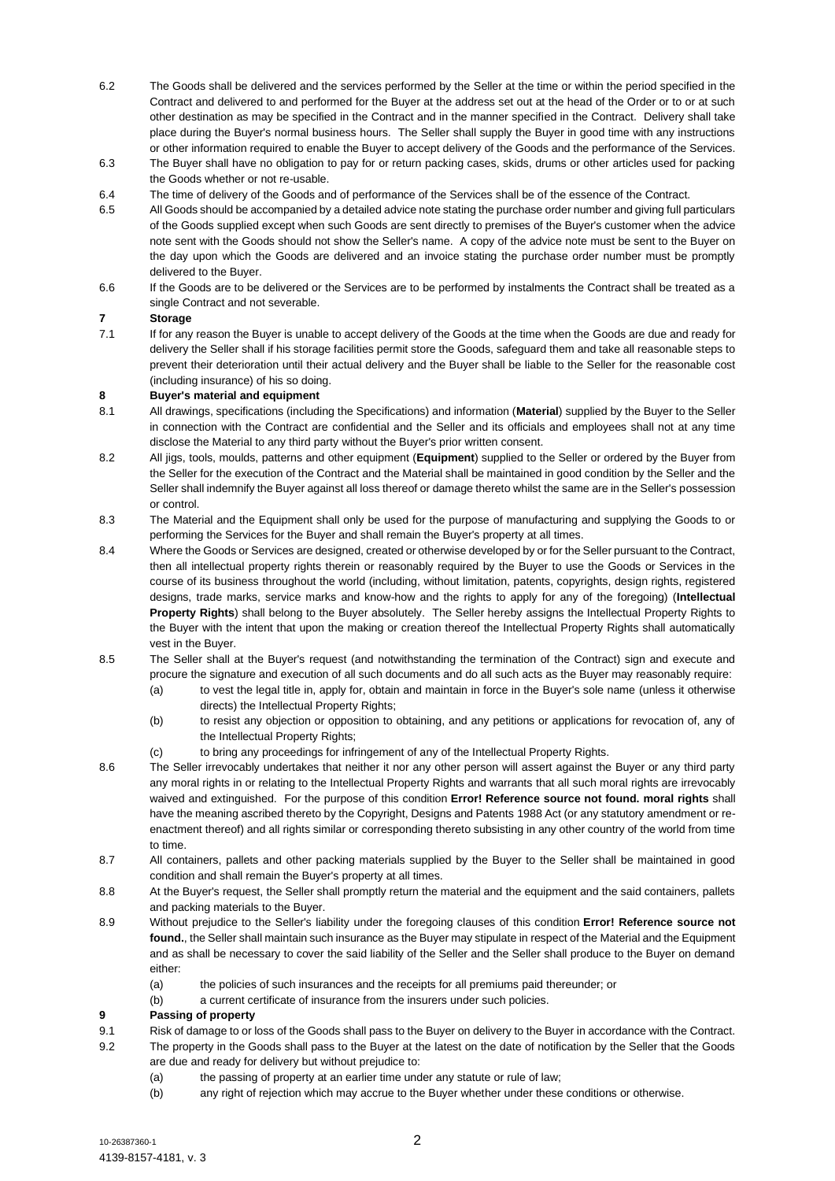- 6.2 The Goods shall be delivered and the services performed by the Seller at the time or within the period specified in the Contract and delivered to and performed for the Buyer at the address set out at the head of the Order or to or at such other destination as may be specified in the Contract and in the manner specified in the Contract. Delivery shall take place during the Buyer's normal business hours. The Seller shall supply the Buyer in good time with any instructions or other information required to enable the Buyer to accept delivery of the Goods and the performance of the Services.
- 6.3 The Buyer shall have no obligation to pay for or return packing cases, skids, drums or other articles used for packing the Goods whether or not re-usable.
- 6.4 The time of delivery of the Goods and of performance of the Services shall be of the essence of the Contract.
- 6.5 All Goods should be accompanied by a detailed advice note stating the purchase order number and giving full particulars of the Goods supplied except when such Goods are sent directly to premises of the Buyer's customer when the advice note sent with the Goods should not show the Seller's name. A copy of the advice note must be sent to the Buyer on the day upon which the Goods are delivered and an invoice stating the purchase order number must be promptly delivered to the Buyer.
- 6.6 If the Goods are to be delivered or the Services are to be performed by instalments the Contract shall be treated as a single Contract and not severable.

# **7 Storage**

7.1 If for any reason the Buyer is unable to accept delivery of the Goods at the time when the Goods are due and ready for delivery the Seller shall if his storage facilities permit store the Goods, safeguard them and take all reasonable steps to prevent their deterioration until their actual delivery and the Buyer shall be liable to the Seller for the reasonable cost (including insurance) of his so doing.

#### **8 Buyer's material and equipment**

- 8.1 All drawings, specifications (including the Specifications) and information (**Material**) supplied by the Buyer to the Seller in connection with the Contract are confidential and the Seller and its officials and employees shall not at any time disclose the Material to any third party without the Buyer's prior written consent.
- 8.2 All jigs, tools, moulds, patterns and other equipment (**Equipment**) supplied to the Seller or ordered by the Buyer from the Seller for the execution of the Contract and the Material shall be maintained in good condition by the Seller and the Seller shall indemnify the Buyer against all loss thereof or damage thereto whilst the same are in the Seller's possession or control.
- 8.3 The Material and the Equipment shall only be used for the purpose of manufacturing and supplying the Goods to or performing the Services for the Buyer and shall remain the Buyer's property at all times.
- 8.4 Where the Goods or Services are designed, created or otherwise developed by or for the Seller pursuant to the Contract, then all intellectual property rights therein or reasonably required by the Buyer to use the Goods or Services in the course of its business throughout the world (including, without limitation, patents, copyrights, design rights, registered designs, trade marks, service marks and know-how and the rights to apply for any of the foregoing) (**Intellectual Property Rights**) shall belong to the Buyer absolutely. The Seller hereby assigns the Intellectual Property Rights to the Buyer with the intent that upon the making or creation thereof the Intellectual Property Rights shall automatically vest in the Buyer.
- 8.5 The Seller shall at the Buyer's request (and notwithstanding the termination of the Contract) sign and execute and procure the signature and execution of all such documents and do all such acts as the Buyer may reasonably require:
	- (a) to vest the legal title in, apply for, obtain and maintain in force in the Buyer's sole name (unless it otherwise directs) the Intellectual Property Rights;
	- (b) to resist any objection or opposition to obtaining, and any petitions or applications for revocation of, any of the Intellectual Property Rights;
	- (c) to bring any proceedings for infringement of any of the Intellectual Property Rights.
- 8.6 The Seller irrevocably undertakes that neither it nor any other person will assert against the Buyer or any third party any moral rights in or relating to the Intellectual Property Rights and warrants that all such moral rights are irrevocably waived and extinguished. For the purpose of this condition **Error! Reference source not found. moral rights** shall have the meaning ascribed thereto by the Copyright, Designs and Patents 1988 Act (or any statutory amendment or reenactment thereof) and all rights similar or corresponding thereto subsisting in any other country of the world from time to time.
- 8.7 All containers, pallets and other packing materials supplied by the Buyer to the Seller shall be maintained in good condition and shall remain the Buyer's property at all times.
- 8.8 At the Buyer's request, the Seller shall promptly return the material and the equipment and the said containers, pallets and packing materials to the Buyer.
- 8.9 Without prejudice to the Seller's liability under the foregoing clauses of this condition **Error! Reference source not found.**, the Seller shall maintain such insurance as the Buyer may stipulate in respect of the Material and the Equipment and as shall be necessary to cover the said liability of the Seller and the Seller shall produce to the Buyer on demand either:
	- (a) the policies of such insurances and the receipts for all premiums paid thereunder; or
	- (b) a current certificate of insurance from the insurers under such policies.

#### **9 Passing of property**

- 9.1 Risk of damage to or loss of the Goods shall pass to the Buyer on delivery to the Buyer in accordance with the Contract.
- 9.2 The property in the Goods shall pass to the Buyer at the latest on the date of notification by the Seller that the Goods are due and ready for delivery but without prejudice to:
	- (a) the passing of property at an earlier time under any statute or rule of law;
		- (b) any right of rejection which may accrue to the Buyer whether under these conditions or otherwise.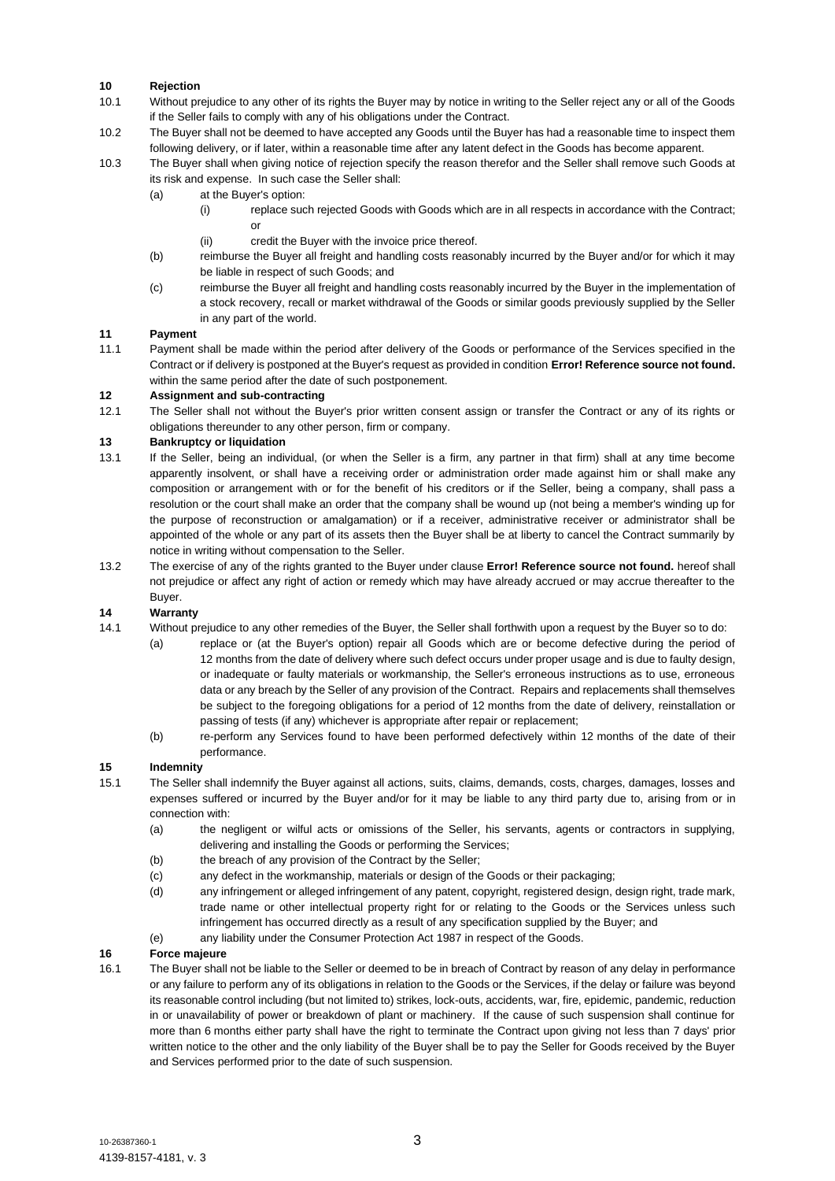# **10 Rejection**

- 10.1 Without prejudice to any other of its rights the Buyer may by notice in writing to the Seller reject any or all of the Goods if the Seller fails to comply with any of his obligations under the Contract.
- 10.2 The Buyer shall not be deemed to have accepted any Goods until the Buyer has had a reasonable time to inspect them following delivery, or if later, within a reasonable time after any latent defect in the Goods has become apparent.
- 10.3 The Buyer shall when giving notice of rejection specify the reason therefor and the Seller shall remove such Goods at its risk and expense. In such case the Seller shall:
	- (a) at the Buyer's option:
		- (i) replace such rejected Goods with Goods which are in all respects in accordance with the Contract; or
			- (ii) credit the Buyer with the invoice price thereof.
	- (b) reimburse the Buyer all freight and handling costs reasonably incurred by the Buyer and/or for which it may be liable in respect of such Goods; and
	- (c) reimburse the Buyer all freight and handling costs reasonably incurred by the Buyer in the implementation of a stock recovery, recall or market withdrawal of the Goods or similar goods previously supplied by the Seller in any part of the world.

#### **11 Payment**

11.1 Payment shall be made within the period after delivery of the Goods or performance of the Services specified in the Contract or if delivery is postponed at the Buyer's request as provided in condition **Error! Reference source not found.** within the same period after the date of such postponement.

# **12 Assignment and sub-contracting**

12.1 The Seller shall not without the Buyer's prior written consent assign or transfer the Contract or any of its rights or obligations thereunder to any other person, firm or company.

# **13 Bankruptcy or liquidation**

- 13.1 If the Seller, being an individual, (or when the Seller is a firm, any partner in that firm) shall at any time become apparently insolvent, or shall have a receiving order or administration order made against him or shall make any composition or arrangement with or for the benefit of his creditors or if the Seller, being a company, shall pass a resolution or the court shall make an order that the company shall be wound up (not being a member's winding up for the purpose of reconstruction or amalgamation) or if a receiver, administrative receiver or administrator shall be appointed of the whole or any part of its assets then the Buyer shall be at liberty to cancel the Contract summarily by notice in writing without compensation to the Seller.
- 13.2 The exercise of any of the rights granted to the Buyer under clause **Error! Reference source not found.** hereof shall not prejudice or affect any right of action or remedy which may have already accrued or may accrue thereafter to the Buyer.

# **14 Warranty**

- 14.1 Without prejudice to any other remedies of the Buyer, the Seller shall forthwith upon a request by the Buyer so to do:
	- (a) replace or (at the Buyer's option) repair all Goods which are or become defective during the period of 12 months from the date of delivery where such defect occurs under proper usage and is due to faulty design, or inadequate or faulty materials or workmanship, the Seller's erroneous instructions as to use, erroneous data or any breach by the Seller of any provision of the Contract. Repairs and replacements shall themselves be subject to the foregoing obligations for a period of 12 months from the date of delivery, reinstallation or passing of tests (if any) whichever is appropriate after repair or replacement;
	- (b) re-perform any Services found to have been performed defectively within 12 months of the date of their performance.

#### **15 Indemnity**

- 15.1 The Seller shall indemnify the Buyer against all actions, suits, claims, demands, costs, charges, damages, losses and expenses suffered or incurred by the Buyer and/or for it may be liable to any third party due to, arising from or in connection with:
	- (a) the negligent or wilful acts or omissions of the Seller, his servants, agents or contractors in supplying, delivering and installing the Goods or performing the Services;
	- (b) the breach of any provision of the Contract by the Seller;
	- (c) any defect in the workmanship, materials or design of the Goods or their packaging;
	- (d) any infringement or alleged infringement of any patent, copyright, registered design, design right, trade mark, trade name or other intellectual property right for or relating to the Goods or the Services unless such infringement has occurred directly as a result of any specification supplied by the Buyer; and
	- (e) any liability under the Consumer Protection Act 1987 in respect of the Goods.

#### **16 Force majeure**

16.1 The Buyer shall not be liable to the Seller or deemed to be in breach of Contract by reason of any delay in performance or any failure to perform any of its obligations in relation to the Goods or the Services, if the delay or failure was beyond its reasonable control including (but not limited to) strikes, lock-outs, accidents, war, fire, epidemic, pandemic, reduction in or unavailability of power or breakdown of plant or machinery. If the cause of such suspension shall continue for more than 6 months either party shall have the right to terminate the Contract upon giving not less than 7 days' prior written notice to the other and the only liability of the Buyer shall be to pay the Seller for Goods received by the Buyer and Services performed prior to the date of such suspension.